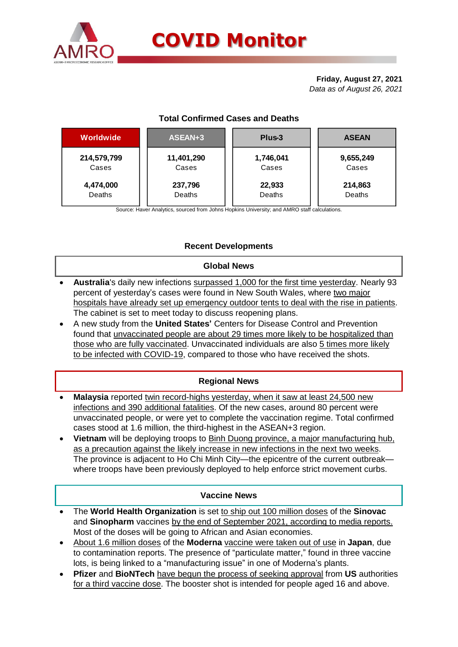

#### **Friday, August 27, 2021** *Data as of August 26, 2021*

| Worldwide   | ASEAN+3    | Plus-3    | <b>ASEAN</b> |  |  |
|-------------|------------|-----------|--------------|--|--|
| 214,579,799 | 11,401,290 | 1,746,041 | 9,655,249    |  |  |
| Cases       | Cases      | Cases     | Cases        |  |  |
| 4,474,000   | 237,796    | 22,933    | 214,863      |  |  |
| Deaths      | Deaths     | Deaths    | Deaths       |  |  |

# **Total Confirmed Cases and Deaths**

Source: Haver Analytics, sourced from Johns Hopkins University; and AMRO staff calculations.

# **Recent Developments**

#### **Global News**

- **Australia**'s daily new infections surpassed 1,000 for the first time yesterday. Nearly 93 percent of yesterday's cases were found in New South Wales, where two major hospitals have already set up emergency outdoor tents to deal with the rise in patients. The cabinet is set to meet today to discuss reopening plans.
- A new study from the **United States'** Centers for Disease Control and Prevention found that unvaccinated people are about 29 times more likely to be hospitalized than those who are fully vaccinated. Unvaccinated individuals are also 5 times more likely to be infected with COVID-19, compared to those who have received the shots.

# **Regional News**

- **Malaysia** reported twin record-highs yesterday, when it saw at least 24,500 new infections and 390 additional fatalities. Of the new cases, around 80 percent were unvaccinated people, or were yet to complete the vaccination regime. Total confirmed cases stood at 1.6 million, the third-highest in the ASEAN+3 region.
- **Vietnam** will be deploying troops to Binh Duong province, a major manufacturing hub, as a precaution against the likely increase in new infections in the next two weeks. The province is adjacent to Ho Chi Minh City—the epicentre of the current outbreak where troops have been previously deployed to help enforce strict movement curbs.

### **Vaccine News**

- The **World Health Organization** is set to ship out 100 million doses of the **Sinovac** and **Sinopharm** vaccines by the end of September 2021, according to media reports. Most of the doses will be going to African and Asian economies.
- About 1.6 million doses of the **Moderna** vaccine were taken out of use in **Japan**, due to contamination reports. The presence of "particulate matter," found in three vaccine lots, is being linked to a "manufacturing issue" in one of Moderna's plants.
- **Pfizer** and **BioNTech** have begun the process of seeking approval from **US** authorities for a third vaccine dose. The booster shot is intended for people aged 16 and above.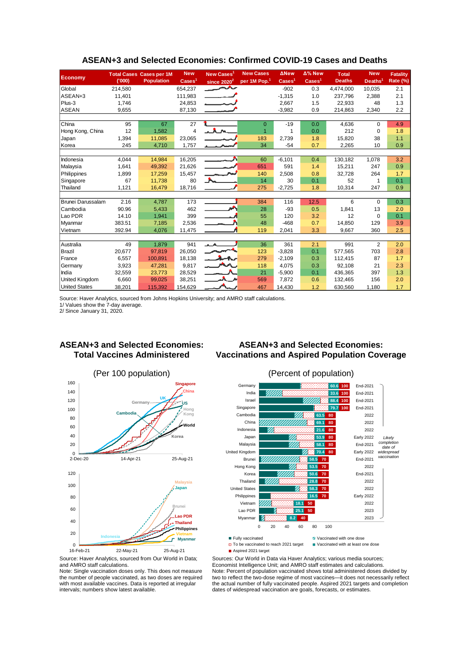| <b>Economy</b>           | (000)   | <b>Total Cases Cases per 1M</b><br><b>Population</b> | <b>New</b><br>$\text{Case} \text{s}^1$ | New Cases <sup>1</sup><br>since $2020^2$ | <b>New Cases</b><br>per 1M Pop. <sup>1</sup> | <b>ANew</b><br>$\mathsf{Cases}^1$ | $\Delta\%$ New<br>$\text{Case} \text{s}^1$ | <b>Total</b><br><b>Deaths</b> | <b>New</b><br>Deaths <sup>1</sup> | <b>Fatality</b><br><b>Rate (%)</b> |
|--------------------------|---------|------------------------------------------------------|----------------------------------------|------------------------------------------|----------------------------------------------|-----------------------------------|--------------------------------------------|-------------------------------|-----------------------------------|------------------------------------|
| Global                   | 214,580 |                                                      | 654,237                                | تتمس                                     |                                              | $-902$                            | 0.3                                        | 4,474,000                     | 10,035                            | 2.1                                |
| ASEAN+3                  | 11,401  |                                                      | 111,983                                |                                          |                                              | $-1,315$                          | 1.0                                        | 237,796                       | 2,388                             | 2.1                                |
| Plus-3                   | 1,746   |                                                      | 24,853                                 |                                          |                                              | 2,667                             | 1.5                                        | 22,933                        | 48                                | 1.3                                |
| <b>ASEAN</b>             | 9,655   |                                                      | 87,130                                 |                                          |                                              | $-3,982$                          | 0.9                                        | 214,863                       | 2,340                             | 2.2                                |
|                          |         |                                                      |                                        |                                          |                                              |                                   |                                            |                               |                                   |                                    |
| China                    | 95      | 67                                                   | 27                                     |                                          | $\Omega$                                     | $-19$                             | 0.0                                        | 4,636                         | 0                                 | 4.9                                |
| Hong Kong, China         | 12      | 1,582                                                | 4                                      | <b>A</b>                                 |                                              | 1                                 | 0.0                                        | 212                           | $\Omega$                          | 1.8                                |
| Japan                    | 1,394   | 11,085                                               | 23,065                                 |                                          | 183                                          | 2,739                             | 1.8                                        | 15,820                        | 38                                | 1.1                                |
| Korea                    | 245     | 4,710                                                | 1,757                                  |                                          | 34                                           | $-54$                             | 0.7                                        | 2,265                         | 10                                | 0.9                                |
|                          |         |                                                      |                                        |                                          |                                              |                                   |                                            |                               |                                   |                                    |
| Indonesia                | 4,044   | 14,984                                               | 16,205                                 |                                          | 60                                           | $-6,101$                          | 0.4                                        | 130,182                       | 1,078                             | 3.2                                |
| Malaysia                 | 1,641   | 49,392                                               | 21,626                                 |                                          | 651                                          | 591                               | 1.4                                        | 15,211                        | 247                               | 0.9                                |
| Philippines              | 1,899   | 17,259                                               | 15,457                                 |                                          | 140                                          | 2,508                             | 0.8                                        | 32,728                        | 264                               | 1.7                                |
| Singapore                | 67      | 11,738                                               | 80                                     | ∼                                        | 14                                           | 30                                | 0.1                                        | 52                            | 1                                 | 0.1                                |
| Thailand                 | 1,121   | 16,479                                               | 18,716                                 |                                          | 275                                          | $-2,725$                          | 1.8                                        | 10,314                        | 247                               | 0.9                                |
|                          |         |                                                      |                                        |                                          |                                              |                                   |                                            |                               |                                   |                                    |
| <b>Brunei Darussalam</b> | 2.16    | 4,787                                                | 173                                    |                                          | 384                                          | 116                               | 12.5                                       | 6                             | $\Omega$                          | 0.3                                |
| Cambodia                 | 90.96   | 5,433                                                | 462                                    | <b>Service State</b>                     | 28                                           | $-93$                             | 0.5                                        | 1,841                         | 13                                | 2.0                                |
| Lao PDR                  | 14.10   | 1.941                                                | 399                                    |                                          | 55                                           | 120                               | 3.2                                        | 12                            | 0                                 | 0.1                                |
| Myanmar                  | 383.51  | 7,185                                                | 2,536                                  |                                          | 48                                           | $-468$                            | 0.7                                        | 14,850                        | 129                               | 3.9                                |
| Vietnam                  | 392.94  | 4,076                                                | 11,475                                 |                                          | 119                                          | 2,041                             | 3.3                                        | 9,667                         | 360                               | 2.5                                |
|                          |         |                                                      |                                        |                                          |                                              |                                   |                                            |                               |                                   |                                    |
| Australia                | 49      | 1,879                                                | 941                                    |                                          | 36                                           | 361                               | 2.1                                        | 991                           | 2                                 | 2.0                                |
| Brazil                   | 20.677  | 97,819                                               | 26,050                                 |                                          | 123                                          | $-3.828$                          | 0.1                                        | 577.565                       | 703                               | 2.8                                |
| France                   | 6,557   | 100,891                                              | 18,138                                 |                                          | 279                                          | $-2,109$                          | 0.3                                        | 112,415                       | 87                                | 1.7                                |
| Germany                  | 3,923   | 47,281                                               | 9,817                                  | M                                        | 118                                          | 4,075                             | 0.3                                        | 92,108                        | 21                                | 2.3                                |
| India                    | 32,559  | 23,773                                               | 28,529                                 |                                          | 21                                           | $-5,900$                          | 0.1                                        | 436,365                       | 397                               | 1.3                                |
| United Kingdom           | 6,660   | 99,025                                               | 38,251                                 |                                          | 569                                          | 7,872                             | 0.6                                        | 132,465                       | 156                               | 2.0                                |
| <b>United States</b>     | 38,201  | 115,392                                              | 154,629                                |                                          | 467                                          | 14,430                            | 1.2                                        | 630,560                       | 1,180                             | 1.7                                |

### **ASEAN+3 and Selected Economies: Confirmed COVID-19 Cases and Deaths**

Source: Haver Analytics, sourced from Johns Hopkins University; and AMRO staff calculations.

1/ Values show the 7-day average. 2/ Since January 31, 2020.

## **ASEAN+3 and Selected Economies: Total Vaccines Administered**



## **ASEAN+3 and Selected Economies: Vaccinations and Aspired Population Coverage**





Source: Haver Analytics, sourced from Our World in Data; and AMRO staff calculations.

Note: Single vaccination doses only. This does not measure the number of people vaccinated, as two doses are required with most available vaccines. Data is reported at irregular intervals; numbers show latest available.

Sources: Our World in Data via Haver Analytics; various media sources; Economist Intelligence Unit; and AMRO staff estimates and calculations. Note: Percent of population vaccinated shows total administered doses divided by two to reflect the two-dose regime of most vaccines—it does not necessarily reflect the actual number of fully vaccinated people. Aspired 2021 targets and completion dates of widespread vaccination are goals, forecasts, or estimates.

■ Aspired 2021 target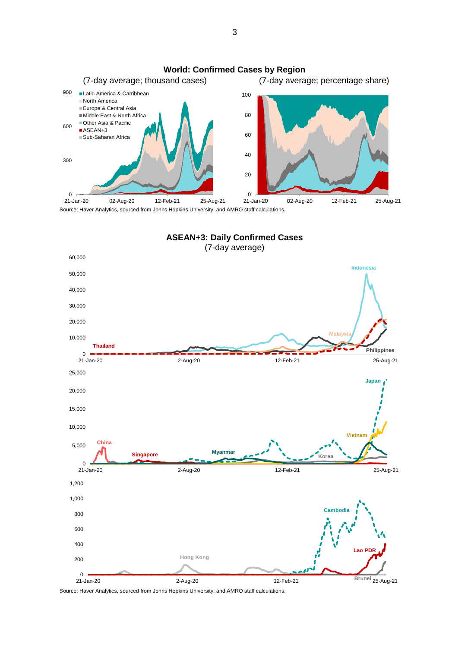



Source: Haver Analytics, sourced from Johns Hopkins University; and AMRO staff calculations.

3